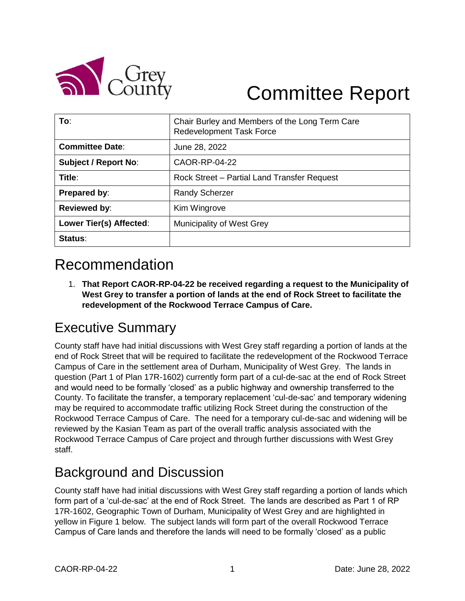

# Committee Report

| To:                         | Chair Burley and Members of the Long Term Care<br>Redevelopment Task Force |
|-----------------------------|----------------------------------------------------------------------------|
| <b>Committee Date:</b>      | June 28, 2022                                                              |
| <b>Subject / Report No:</b> | CAOR-RP-04-22                                                              |
| Title:                      | Rock Street - Partial Land Transfer Request                                |
| Prepared by:                | <b>Randy Scherzer</b>                                                      |
| <b>Reviewed by:</b>         | Kim Wingrove                                                               |
| Lower Tier(s) Affected:     | Municipality of West Grey                                                  |
| Status:                     |                                                                            |

## Recommendation

1. **That Report CAOR-RP-04-22 be received regarding a request to the Municipality of West Grey to transfer a portion of lands at the end of Rock Street to facilitate the redevelopment of the Rockwood Terrace Campus of Care.**

## Executive Summary

County staff have had initial discussions with West Grey staff regarding a portion of lands at the end of Rock Street that will be required to facilitate the redevelopment of the Rockwood Terrace Campus of Care in the settlement area of Durham, Municipality of West Grey. The lands in question (Part 1 of Plan 17R-1602) currently form part of a cul-de-sac at the end of Rock Street and would need to be formally 'closed' as a public highway and ownership transferred to the County. To facilitate the transfer, a temporary replacement 'cul-de-sac' and temporary widening may be required to accommodate traffic utilizing Rock Street during the construction of the Rockwood Terrace Campus of Care. The need for a temporary cul-de-sac and widening will be reviewed by the Kasian Team as part of the overall traffic analysis associated with the Rockwood Terrace Campus of Care project and through further discussions with West Grey staff.

## Background and Discussion

County staff have had initial discussions with West Grey staff regarding a portion of lands which form part of a 'cul-de-sac' at the end of Rock Street. The lands are described as Part 1 of RP 17R-1602, Geographic Town of Durham, Municipality of West Grey and are highlighted in yellow in Figure 1 below. The subject lands will form part of the overall Rockwood Terrace Campus of Care lands and therefore the lands will need to be formally 'closed' as a public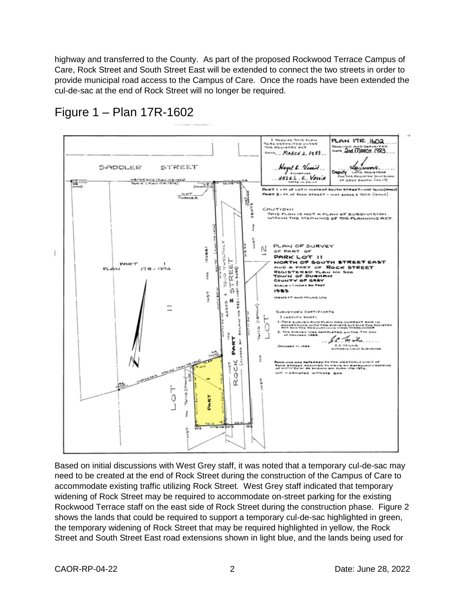highway and transferred to the County. As part of the proposed Rockwood Terrace Campus of Care, Rock Street and South Street East will be extended to connect the two streets in order to provide municipal road access to the Campus of Care. Once the roads have been extended the cul-de-sac at the end of Rock Street will no longer be required.



Figure 1 – Plan 17R-1602

Based on initial discussions with West Grey staff, it was noted that a temporary cul-de-sac may need to be created at the end of Rock Street during the construction of the Campus of Care to accommodate existing traffic utilizing Rock Street. West Grey staff indicated that temporary widening of Rock Street may be required to accommodate on-street parking for the existing Rockwood Terrace staff on the east side of Rock Street during the construction phase. Figure 2 shows the lands that could be required to support a temporary cul-de-sac highlighted in green, the temporary widening of Rock Street that may be required highlighted in yellow, the Rock Street and South Street East road extensions shown in light blue, and the lands being used for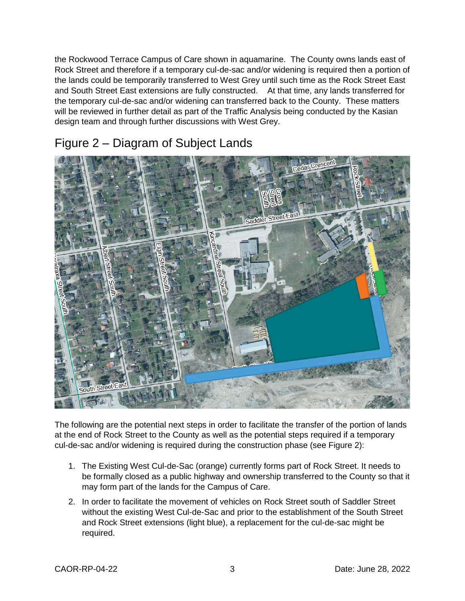the Rockwood Terrace Campus of Care shown in aquamarine. The County owns lands east of Rock Street and therefore if a temporary cul-de-sac and/or widening is required then a portion of the lands could be temporarily transferred to West Grey until such time as the Rock Street East and South Street East extensions are fully constructed. At that time, any lands transferred for the temporary cul-de-sac and/or widening can transferred back to the County. These matters will be reviewed in further detail as part of the Traffic Analysis being conducted by the Kasian design team and through further discussions with West Grey.

#### Figure 2 – Diagram of Subject Lands



The following are the potential next steps in order to facilitate the transfer of the portion of lands at the end of Rock Street to the County as well as the potential steps required if a temporary cul-de-sac and/or widening is required during the construction phase (see Figure 2):

- 1. The Existing West Cul-de-Sac (orange) currently forms part of Rock Street. It needs to be formally closed as a public highway and ownership transferred to the County so that it may form part of the lands for the Campus of Care.
- 2. In order to facilitate the movement of vehicles on Rock Street south of Saddler Street without the existing West Cul-de-Sac and prior to the establishment of the South Street and Rock Street extensions (light blue), a replacement for the cul-de-sac might be required.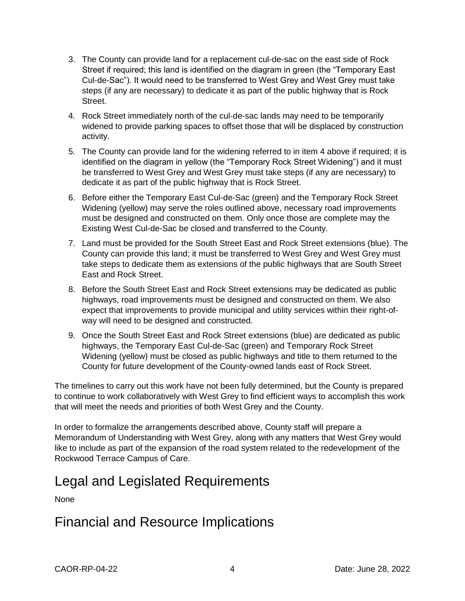- 3. The County can provide land for a replacement cul-de-sac on the east side of Rock Street if required; this land is identified on the diagram in green (the "Temporary East Cul-de-Sac"). It would need to be transferred to West Grey and West Grey must take steps (if any are necessary) to dedicate it as part of the public highway that is Rock Street.
- 4. Rock Street immediately north of the cul-de-sac lands may need to be temporarily widened to provide parking spaces to offset those that will be displaced by construction activity.
- 5. The County can provide land for the widening referred to in item 4 above if required; it is identified on the diagram in yellow (the "Temporary Rock Street Widening") and it must be transferred to West Grey and West Grey must take steps (if any are necessary) to dedicate it as part of the public highway that is Rock Street.
- 6. Before either the Temporary East Cul-de-Sac (green) and the Temporary Rock Street Widening (yellow) may serve the roles outlined above, necessary road improvements must be designed and constructed on them. Only once those are complete may the Existing West Cul-de-Sac be closed and transferred to the County.
- 7. Land must be provided for the South Street East and Rock Street extensions (blue). The County can provide this land; it must be transferred to West Grey and West Grey must take steps to dedicate them as extensions of the public highways that are South Street East and Rock Street.
- 8. Before the South Street East and Rock Street extensions may be dedicated as public highways, road improvements must be designed and constructed on them. We also expect that improvements to provide municipal and utility services within their right-ofway will need to be designed and constructed.
- 9. Once the South Street East and Rock Street extensions (blue) are dedicated as public highways, the Temporary East Cul-de-Sac (green) and Temporary Rock Street Widening (yellow) must be closed as public highways and title to them returned to the County for future development of the County-owned lands east of Rock Street.

The timelines to carry out this work have not been fully determined, but the County is prepared to continue to work collaboratively with West Grey to find efficient ways to accomplish this work that will meet the needs and priorities of both West Grey and the County.

In order to formalize the arrangements described above, County staff will prepare a Memorandum of Understanding with West Grey, along with any matters that West Grey would like to include as part of the expansion of the road system related to the redevelopment of the Rockwood Terrace Campus of Care.

## Legal and Legislated Requirements

None

## Financial and Resource Implications